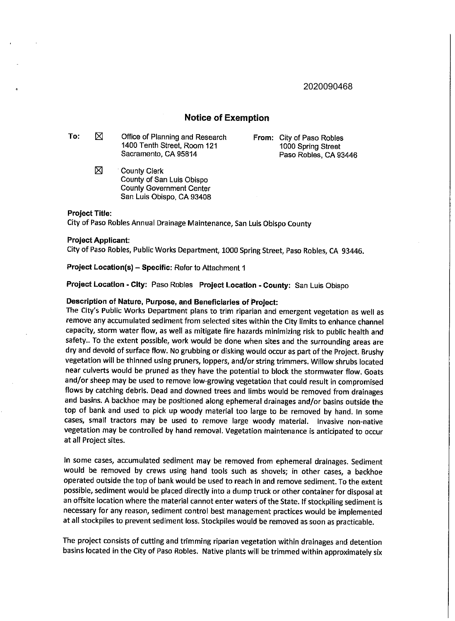2020090468

### **Notice of Exemption**

To:  $\boxtimes$  Office of Planning and Research 1400 Tenth Street, Room 121 Sacramento, CA 95814

> $\boxtimes$  **County Clerk** County of San Luis Obispo County Government Center San Luis Obispo, CA 93408

**From:** City of Paso Robles 1000 Spring Street Paso Robles, CA 93446

### **Project Title:**

City of Paso Robles Annual Drainage Maintenance, San Luis Obispo County

#### **Project Applicant:**

City of Paso Robles, Public Works Department, 1000 Spring Street, Paso Robles, CA 93446.

**Project Location(s) - Specific:** Refer to Attachment 1

**Project Location - City:** Paso Robles **Project Location - County:** San Luis Obispo

### **Description of Nature, Purpose, and Beneficiaries of Project:**

The City's Public Works Department plans to trim riparian and emergent vegetation as well as remove any accumulated sediment from selected sites within the City limits to enhance channel capacity, storm water flow, as well as mitigate fire hazards minimizing risk to public health and safety.. To the extent possible, work would be done when sites and the surrounding areas are dry and devoid of surface flow. No grubbing or disking would occur as part of the Project. Brushy vegetation will be thinned using pruners, loppers, and/or string trimmers. Willow shrubs located near culverts would be pruned as they have the potential to block the stormwater flow. Goats and/or sheep may be used to remove low-growing vegetation that could result in compromised flows by catching debris. Dead and downed trees and limbs would be removed from drainages and basins. A backhoe may be positioned along ephemeral drainages and/or basins outside the top of bank and used to pick up woody material too large to be removed by hand. In some cases, small tractors may be used to remove large woody material. Invasive non-native vegetation may be controlled by hand removal. Vegetation maintenance is anticipated to occur at all Project sites.

In some cases, accumulated sediment may be removed from ephemeral drainages. Sediment would be removed by crews using hand tools such as shovels; in other cases, a backhoe operated outside the top of bank would be used to reach in and remove sediment. To the extent possible, sediment would be placed directly into a dump truck or other container for disposal at an offsite location where the material cannot enter waters of the State. If stockpiling sediment is necessary for any reason, sediment control best management practices would be implemented at all stockpiles to prevent sediment loss. Stockpiles would be removed as soon as practicable.

The project consists of cutting and trimming riparian vegetation within drainages and detention basins located in the City of Paso Robles. Native plants will be trimmed within approximately six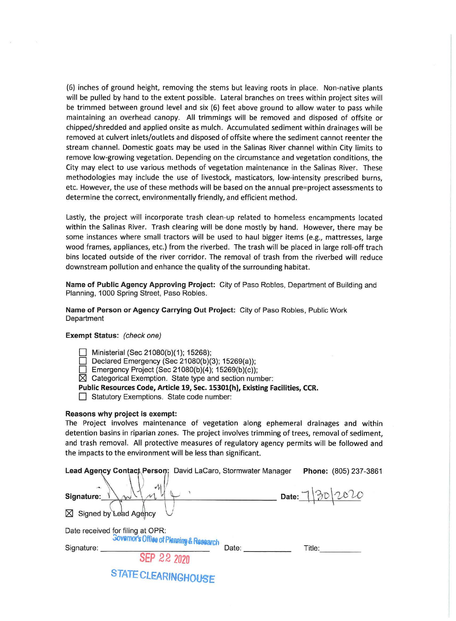(6) inches of ground height, removing the stems but leaving roots in place. Non-native plants will be pulled by hand to the extent possible. Lateral branches on trees within project sites will be trimmed between ground level and six (6) feet above ground to allow water to pass while maintaining an overhead canopy. **All** trimmings will be removed and disposed of offsite or chipped/shredded and applied onsite as mulch. Accumulated sediment within drainages will be removed at culvert inlets/outlets and disposed of offsite where the sediment cannot reenter the stream channel. Domestic goats may be used in the Salinas River channel within City limits to remove low-growing vegetation. Depending on the circumstance and vegetation conditions, the City may elect to use various methods of vegetation maintenance in the Salinas River. These methodologies may include the use of livestock, masticators, low-intensity prescribed burns, etc. However, the use of these methods will be based on the annual pre=project assessments to determine the correct, environmentally friendly, and efficient method.

Lastly, the project will incorporate trash clean-up related to homeless encampments located within the Salinas River. Trash clearing will be done mostly by hand. However, there may be some instances where small tractors will be used to haul bigger items (e.g., mattresses, large wood frames, appliances, etc.) from the riverbed. The trash will be placed in large roll-off trach bins located outside of the river corridor. The removal of trash from the riverbed will reduce downstream pollution and enhance the quality of the surrounding habitat.

**Name of Public Agency Approving Project:** City of Paso Robles, Department of Building and Planning, 1000 Spring Street, Paso Robles.

**Name of Person or Agency Carrying Out Project:** City of Paso Robles, Public Work **Department** 

### **Exempt Status:** (check one)

 $\Box$  Ministerial (Sec 21080(b)(1); 15268);

 $\Box$  Declared Emergency (Sec 21080(b)(3); 15269(a));

 $\Box$  Emergency Project (Sec 21080(b)(4); 15269(b)(c));

 $\boxtimes$  Categorical Exemption. State type and section number:

**Public Resources Code, Article 19, Sec. 15301(h), Existing Facilities, CCR.** 

□ Statutory Exemptions. State code number:

### **Reasons why project is exempt:**

The Project involves maintenance of vegetation along ephemeral drainages and within detention basins in riparian zones. The project involves trimming of trees, removal of sediment, and trash removal. All protective measures of regulatory agency permits will be followed and the impacts to the environment will be less than significant.

| Lead Agency Contact Person: David LaCaro, Stormwater Manager                 | Phone: (805) 237-3861 |
|------------------------------------------------------------------------------|-----------------------|
| ya.<br>J.<br>Signature:<br>Signed by Lead Agency<br>⋈                        | 30/2020<br>Date:      |
| Date received for filing at OPR:<br>Governor's Office of Planning & Research |                       |
| Signature:<br>SEP 22 2020                                                    | Date:<br>Title:       |
| STATE CLEARINGHOUSE                                                          |                       |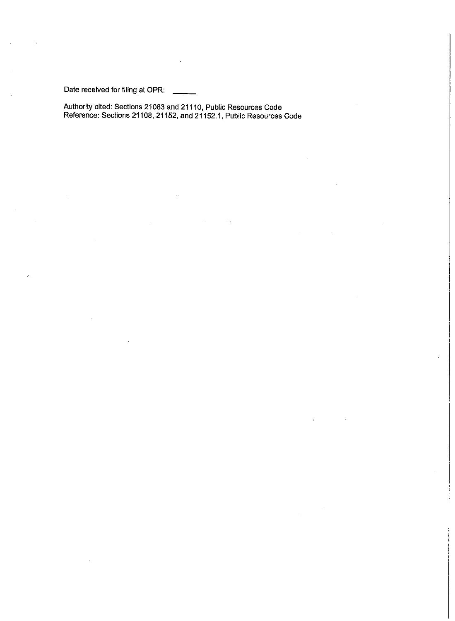Date received for filing at OPR:

Authority cited: Sections 21083 and 21110, Public Resources Code Reference: Sections 21108, 21152, and 21152.1, Public Resources Code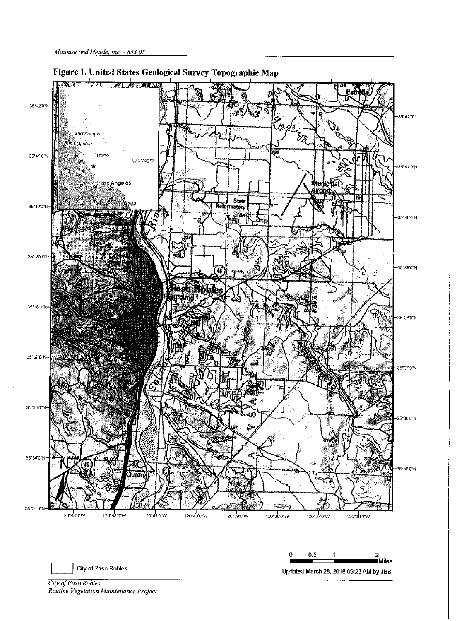

City *of Paso Robles Routine Vegetation Maintenance Project*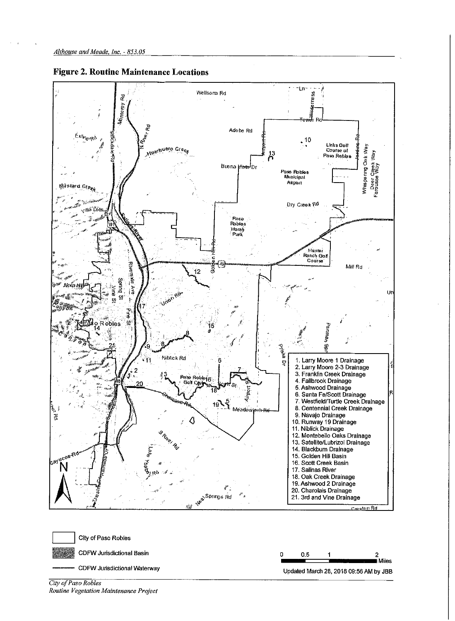

**Figure 2. Routine Maintenance Locations** 



City of Paso Robles

**CDFW Jurisdictional Waterway** 

- **CDFW Jurisdictional Basin** 



*City of Paso Robles Routine Vegetation Maintenance Project*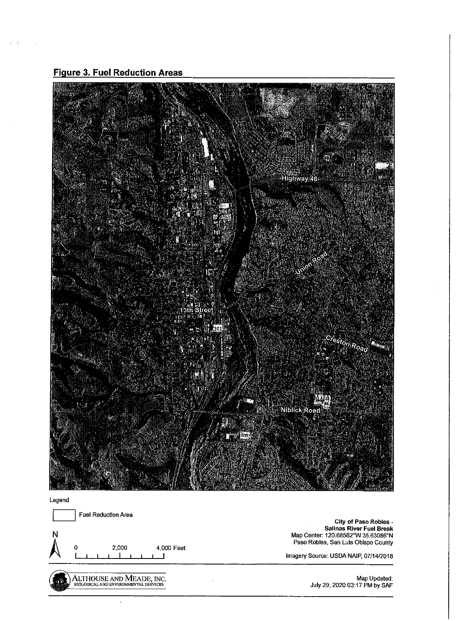**Figure 3. Fuel Reduction Areas** 

 $Z = R$ 



Legend

**Fuel Reduction Area N**   $\bigwedge$  or I 2,000  $\overline{r}$ 4,000 Feet I ALTHOUSE AND MEADE, INC. **City of Paso Robles**  - **Salinas River Fuel Break**  Map Center: 120.68582°W 35.63086°N **Paso Robles, San Luis Obispo County**  Imagery Source: USDA NAIP, 07/14/2018 Map Updated: July 29, 2020 03:17 PM by SAF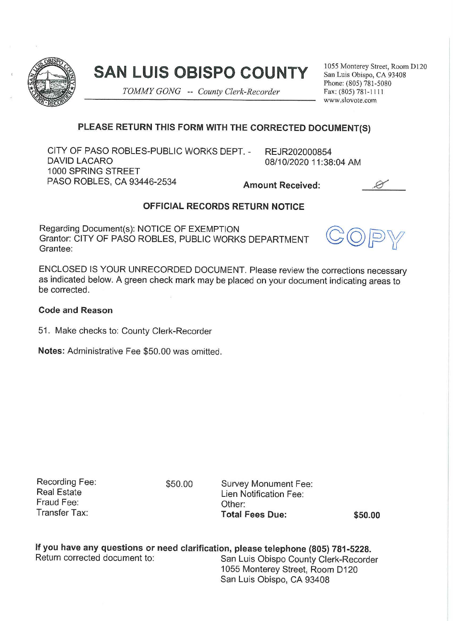

# **SAN LUIS OBISPO COUNTY**

*TOMMY GONG* -- *County Clerk-Recorder* 

1055 Monterey Street, Room D120 San Luis Obispo, CA 93408 Phone: (805) 781 -5080 Fax: (805) 781-111 1 www.slovore.com

## **PLEASE RETURN THIS FORM WITH THE CORRECTED DOCUMENT(S)**

CITY OF PASO ROBLES-PUBLIC WORKS DEPT. - DAVID LACARO 1000 SPRING STREET PASO ROBLES, CA 93446-2534 **Amount Received:** 

REJR202000854 08/10/2020 11:38:04 AM

# **OFFICIAL RECORDS RETURN NOTICE**

Regarding Document(s): NOTICE OF EXEMPTION Grantor: CITY OF PASO ROBLES, PUBLIC WORKS DEPARTMENT Grantee:



ENCLOSED IS YOUR UNRECORDED DOCUMENT. Please review the corrections necessary as indicated below. A green check mark may be placed on your document indicating areas to be corrected.

### **Code and Reason**

51 . Make checks to: County Clerk-Recorder

**Notes:** Administrative Fee \$50.00 was omitted.

Recording Fee: Real Estate Fraud Fee: Transfer Tax:

\$50.00 Survey Monument Fee: Lien Notification Fee: Other: **Total Fees Due: \$50.00** 

**If you have any questions or need clarification, please telephone (805) 781 -5228.**  Return corrected document to: San Luis Obispo County Clerk-Recorder 1055 Monterey Street, Room D120 San Luis Obispo, CA 93408